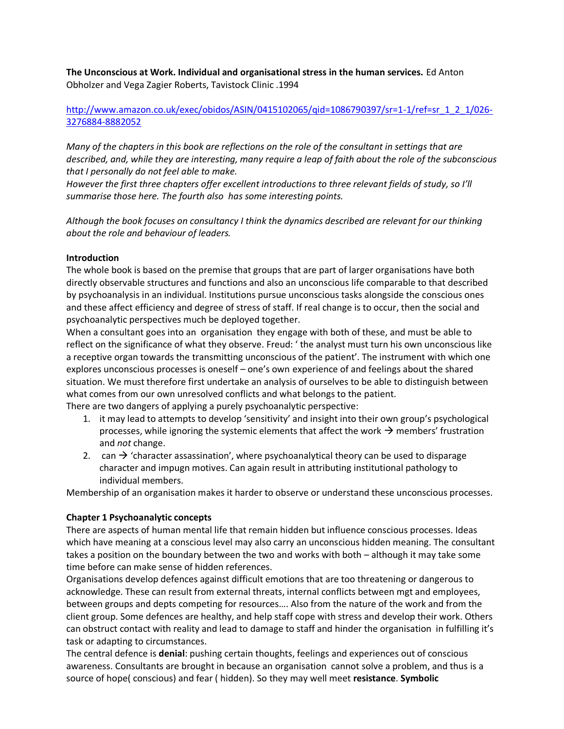**The Unconscious at Work. Individual and organisational stress in the human services.** Ed Anton Obholzer and Vega Zagier Roberts, Tavistock Clinic .1994

[http://www.amazon.co.uk/exec/obidos/ASIN/0415102065/qid=1086790397/sr=1-1/ref=sr\\_1\\_2\\_1/026-](http://www.amazon.co.uk/exec/obidos/ASIN/0415102065/qid=1086790397/sr=1-1/ref=sr_1_2_1/026-3276884-8882052) [3276884-8882052](http://www.amazon.co.uk/exec/obidos/ASIN/0415102065/qid=1086790397/sr=1-1/ref=sr_1_2_1/026-3276884-8882052)

*Many of the chapters in this book are reflections on the role of the consultant in settings that are described, and, while they are interesting, many require a leap of faith about the role of the subconscious that I personally do not feel able to make.* 

*However the first three chapters offer excellent introductions to three relevant fields of study, so I'll summarise those here. The fourth also has some interesting points.* 

*Although the book focuses on consultancy I think the dynamics described are relevant for our thinking about the role and behaviour of leaders.* 

### **Introduction**

The whole book is based on the premise that groups that are part of larger organisations have both directly observable structures and functions and also an unconscious life comparable to that described by psychoanalysis in an individual. Institutions pursue unconscious tasks alongside the conscious ones and these affect efficiency and degree of stress of staff. If real change is to occur, then the social and psychoanalytic perspectives much be deployed together.

When a consultant goes into an organisation they engage with both of these, and must be able to reflect on the significance of what they observe. Freud: ' the analyst must turn his own unconscious like a receptive organ towards the transmitting unconscious of the patient'. The instrument with which one explores unconscious processes is oneself – one's own experience of and feelings about the shared situation. We must therefore first undertake an analysis of ourselves to be able to distinguish between what comes from our own unresolved conflicts and what belongs to the patient. There are two dangers of applying a purely psychoanalytic perspective:

- 1. it may lead to attempts to develop 'sensitivity' and insight into their own group's psychological processes, while ignoring the systemic elements that affect the work  $\rightarrow$  members' frustration and *not* change.
- 2. can  $\rightarrow$  'character assassination', where psychoanalytical theory can be used to disparage character and impugn motives. Can again result in attributing institutional pathology to individual members.

Membership of an organisation makes it harder to observe or understand these unconscious processes.

#### **Chapter 1 Psychoanalytic concepts**

There are aspects of human mental life that remain hidden but influence conscious processes. Ideas which have meaning at a conscious level may also carry an unconscious hidden meaning. The consultant takes a position on the boundary between the two and works with both – although it may take some time before can make sense of hidden references.

Organisations develop defences against difficult emotions that are too threatening or dangerous to acknowledge. These can result from external threats, internal conflicts between mgt and employees, between groups and depts competing for resources…. Also from the nature of the work and from the client group. Some defences are healthy, and help staff cope with stress and develop their work. Others can obstruct contact with reality and lead to damage to staff and hinder the organisation in fulfilling it's task or adapting to circumstances.

The central defence is **denial**: pushing certain thoughts, feelings and experiences out of conscious awareness. Consultants are brought in because an organisation cannot solve a problem, and thus is a source of hope( conscious) and fear ( hidden). So they may well meet **resistance**. **Symbolic**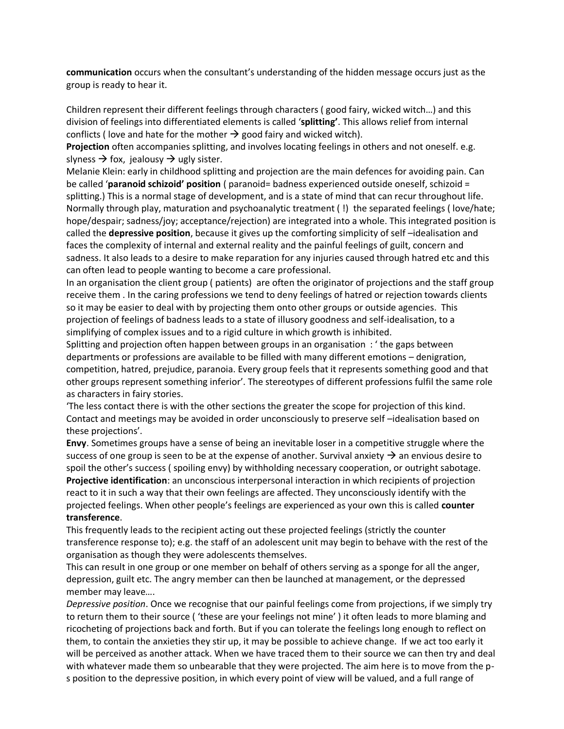**communication** occurs when the consultant's understanding of the hidden message occurs just as the group is ready to hear it.

Children represent their different feelings through characters ( good fairy, wicked witch…) and this division of feelings into differentiated elements is called '**splitting'**. This allows relief from internal conflicts ( love and hate for the mother  $\rightarrow$  good fairy and wicked witch).

**Projection** often accompanies splitting, and involves locating feelings in others and not oneself. e.g. slyness  $\rightarrow$  fox, jealousy  $\rightarrow$  ugly sister.

Melanie Klein: early in childhood splitting and projection are the main defences for avoiding pain. Can be called '**paranoid schizoid' position** ( paranoid= badness experienced outside oneself, schizoid = splitting.) This is a normal stage of development, and is a state of mind that can recur throughout life. Normally through play, maturation and psychoanalytic treatment ( !) the separated feelings ( love/hate; hope/despair; sadness/joy; acceptance/rejection) are integrated into a whole. This integrated position is called the **depressive position**, because it gives up the comforting simplicity of self –idealisation and faces the complexity of internal and external reality and the painful feelings of guilt, concern and sadness. It also leads to a desire to make reparation for any injuries caused through hatred etc and this can often lead to people wanting to become a care professional.

In an organisation the client group ( patients) are often the originator of projections and the staff group receive them . In the caring professions we tend to deny feelings of hatred or rejection towards clients so it may be easier to deal with by projecting them onto other groups or outside agencies. This projection of feelings of badness leads to a state of illusory goodness and self-idealisation, to a simplifying of complex issues and to a rigid culture in which growth is inhibited.

Splitting and projection often happen between groups in an organisation : ' the gaps between departments or professions are available to be filled with many different emotions – denigration, competition, hatred, prejudice, paranoia. Every group feels that it represents something good and that other groups represent something inferior'. The stereotypes of different professions fulfil the same role as characters in fairy stories.

'The less contact there is with the other sections the greater the scope for projection of this kind. Contact and meetings may be avoided in order unconsciously to preserve self –idealisation based on these projections'.

**Envy**. Sometimes groups have a sense of being an inevitable loser in a competitive struggle where the success of one group is seen to be at the expense of another. Survival anxiety  $\rightarrow$  an envious desire to spoil the other's success ( spoiling envy) by withholding necessary cooperation, or outright sabotage. **Projective identification**: an unconscious interpersonal interaction in which recipients of projection react to it in such a way that their own feelings are affected. They unconsciously identify with the projected feelings. When other people's feelings are experienced as your own this is called **counter transference**.

This frequently leads to the recipient acting out these projected feelings (strictly the counter transference response to); e.g. the staff of an adolescent unit may begin to behave with the rest of the organisation as though they were adolescents themselves.

This can result in one group or one member on behalf of others serving as a sponge for all the anger, depression, guilt etc. The angry member can then be launched at management, or the depressed member may leave….

*Depressive position*. Once we recognise that our painful feelings come from projections, if we simply try to return them to their source ( 'these are your feelings not mine' ) it often leads to more blaming and ricocheting of projections back and forth. But if you can tolerate the feelings long enough to reflect on them, to contain the anxieties they stir up, it may be possible to achieve change. If we act too early it will be perceived as another attack. When we have traced them to their source we can then try and deal with whatever made them so unbearable that they were projected. The aim here is to move from the ps position to the depressive position, in which every point of view will be valued, and a full range of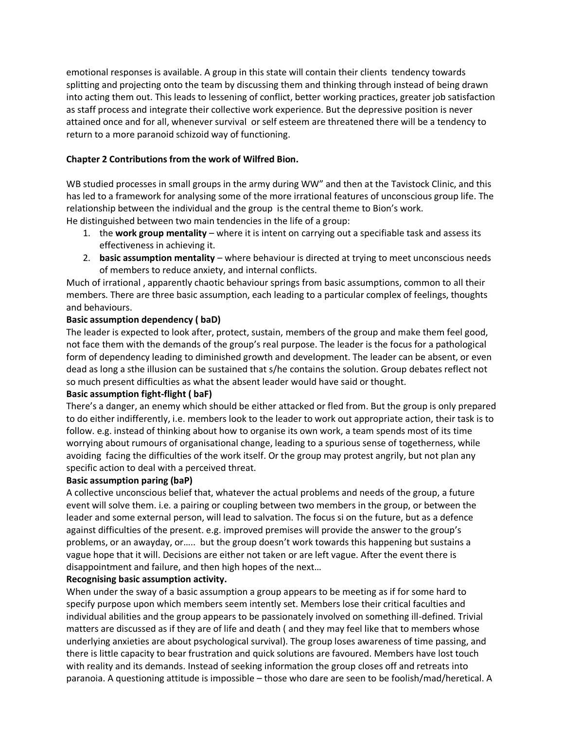emotional responses is available. A group in this state will contain their clients tendency towards splitting and projecting onto the team by discussing them and thinking through instead of being drawn into acting them out. This leads to lessening of conflict, better working practices, greater job satisfaction as staff process and integrate their collective work experience. But the depressive position is never attained once and for all, whenever survival or self esteem are threatened there will be a tendency to return to a more paranoid schizoid way of functioning.

# **Chapter 2 Contributions from the work of Wilfred Bion.**

WB studied processes in small groups in the army during WW" and then at the Tavistock Clinic, and this has led to a framework for analysing some of the more irrational features of unconscious group life. The relationship between the individual and the group is the central theme to Bion's work. He distinguished between two main tendencies in the life of a group:

- 1. the **work group mentality** where it is intent on carrying out a specifiable task and assess its effectiveness in achieving it.
- 2. **basic assumption mentality** where behaviour is directed at trying to meet unconscious needs of members to reduce anxiety, and internal conflicts.

Much of irrational , apparently chaotic behaviour springs from basic assumptions, common to all their members. There are three basic assumption, each leading to a particular complex of feelings, thoughts and behaviours.

### **Basic assumption dependency ( baD)**

The leader is expected to look after, protect, sustain, members of the group and make them feel good, not face them with the demands of the group's real purpose. The leader is the focus for a pathological form of dependency leading to diminished growth and development. The leader can be absent, or even dead as long a sthe illusion can be sustained that s/he contains the solution. Group debates reflect not so much present difficulties as what the absent leader would have said or thought.

### **Basic assumption fight-flight ( baF)**

There's a danger, an enemy which should be either attacked or fled from. But the group is only prepared to do either indifferently, i.e. members look to the leader to work out appropriate action, their task is to follow. e.g. instead of thinking about how to organise its own work, a team spends most of its time worrying about rumours of organisational change, leading to a spurious sense of togetherness, while avoiding facing the difficulties of the work itself. Or the group may protest angrily, but not plan any specific action to deal with a perceived threat.

### **Basic assumption paring (baP)**

A collective unconscious belief that, whatever the actual problems and needs of the group, a future event will solve them. i.e. a pairing or coupling between two members in the group, or between the leader and some external person, will lead to salvation. The focus si on the future, but as a defence against difficulties of the present. e.g. improved premises will provide the answer to the group's problems, or an awayday, or….. but the group doesn't work towards this happening but sustains a vague hope that it will. Decisions are either not taken or are left vague. After the event there is disappointment and failure, and then high hopes of the next…

### **Recognising basic assumption activity.**

When under the sway of a basic assumption a group appears to be meeting as if for some hard to specify purpose upon which members seem intently set. Members lose their critical faculties and individual abilities and the group appears to be passionately involved on something ill-defined. Trivial matters are discussed as if they are of life and death ( and they may feel like that to members whose underlying anxieties are about psychological survival). The group loses awareness of time passing, and there is little capacity to bear frustration and quick solutions are favoured. Members have lost touch with reality and its demands. Instead of seeking information the group closes off and retreats into paranoia. A questioning attitude is impossible – those who dare are seen to be foolish/mad/heretical. A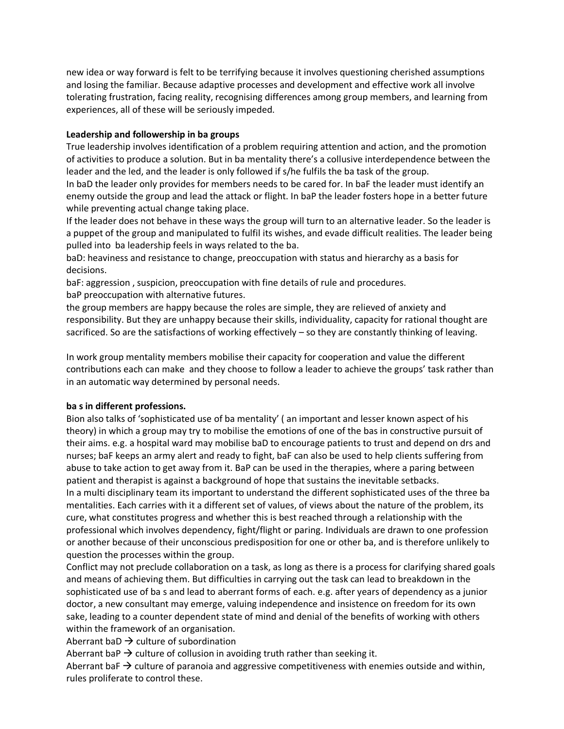new idea or way forward is felt to be terrifying because it involves questioning cherished assumptions and losing the familiar. Because adaptive processes and development and effective work all involve tolerating frustration, facing reality, recognising differences among group members, and learning from experiences, all of these will be seriously impeded.

## **Leadership and followership in ba groups**

True leadership involves identification of a problem requiring attention and action, and the promotion of activities to produce a solution. But in ba mentality there's a collusive interdependence between the leader and the led, and the leader is only followed if s/he fulfils the ba task of the group.

In baD the leader only provides for members needs to be cared for. In baF the leader must identify an enemy outside the group and lead the attack or flight. In baP the leader fosters hope in a better future while preventing actual change taking place.

If the leader does not behave in these ways the group will turn to an alternative leader. So the leader is a puppet of the group and manipulated to fulfil its wishes, and evade difficult realities. The leader being pulled into ba leadership feels in ways related to the ba.

baD: heaviness and resistance to change, preoccupation with status and hierarchy as a basis for decisions.

baF: aggression , suspicion, preoccupation with fine details of rule and procedures.

baP preoccupation with alternative futures.

the group members are happy because the roles are simple, they are relieved of anxiety and responsibility. But they are unhappy because their skills, individuality, capacity for rational thought are sacrificed. So are the satisfactions of working effectively – so they are constantly thinking of leaving.

In work group mentality members mobilise their capacity for cooperation and value the different contributions each can make and they choose to follow a leader to achieve the groups' task rather than in an automatic way determined by personal needs.

### **ba s in different professions.**

Bion also talks of 'sophisticated use of ba mentality' ( an important and lesser known aspect of his theory) in which a group may try to mobilise the emotions of one of the bas in constructive pursuit of their aims. e.g. a hospital ward may mobilise baD to encourage patients to trust and depend on drs and nurses; baF keeps an army alert and ready to fight, baF can also be used to help clients suffering from abuse to take action to get away from it. BaP can be used in the therapies, where a paring between patient and therapist is against a background of hope that sustains the inevitable setbacks. In a multi disciplinary team its important to understand the different sophisticated uses of the three ba mentalities. Each carries with it a different set of values, of views about the nature of the problem, its cure, what constitutes progress and whether this is best reached through a relationship with the professional which involves dependency, fight/flight or paring. Individuals are drawn to one profession or another because of their unconscious predisposition for one or other ba, and is therefore unlikely to question the processes within the group.

Conflict may not preclude collaboration on a task, as long as there is a process for clarifying shared goals and means of achieving them. But difficulties in carrying out the task can lead to breakdown in the sophisticated use of ba s and lead to aberrant forms of each. e.g. after years of dependency as a junior doctor, a new consultant may emerge, valuing independence and insistence on freedom for its own sake, leading to a counter dependent state of mind and denial of the benefits of working with others within the framework of an organisation.

Aberrant baD  $\rightarrow$  culture of subordination

Aberrant baP  $\rightarrow$  culture of collusion in avoiding truth rather than seeking it.

Aberrant baF  $\rightarrow$  culture of paranoia and aggressive competitiveness with enemies outside and within, rules proliferate to control these.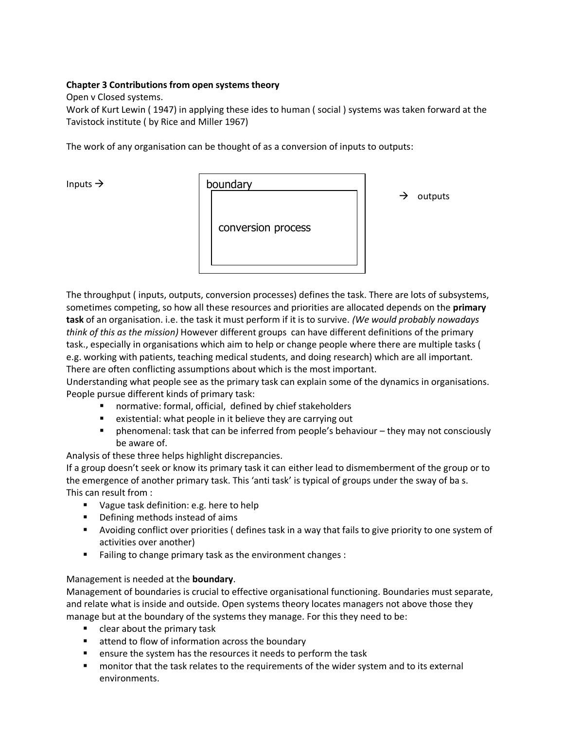## **Chapter 3 Contributions from open systems theory**

### Open v Closed systems.

Work of Kurt Lewin ( 1947) in applying these ides to human ( social ) systems was taken forward at the Tavistock institute ( by Rice and Miller 1967)

The work of any organisation can be thought of as a conversion of inputs to outputs:

Inputs  $\rightarrow$ 



outputs

The throughput ( inputs, outputs, conversion processes) defines the task. There are lots of subsystems, sometimes competing, so how all these resources and priorities are allocated depends on the **primary task** of an organisation. i.e. the task it must perform if it is to survive. *(We would probably nowadays think of this as the mission)* However different groups can have different definitions of the primary task., especially in organisations which aim to help or change people where there are multiple tasks ( e.g. working with patients, teaching medical students, and doing research) which are all important. There are often conflicting assumptions about which is the most important.

Understanding what people see as the primary task can explain some of the dynamics in organisations. People pursue different kinds of primary task:

- normative: formal, official, defined by chief stakeholders
- existential: what people in it believe they are carrying out
- phenomenal: task that can be inferred from people's behaviour they may not consciously be aware of.

Analysis of these three helps highlight discrepancies.

If a group doesn't seek or know its primary task it can either lead to dismemberment of the group or to the emergence of another primary task. This 'anti task' is typical of groups under the sway of ba s. This can result from :

- **Vague task definition: e.g. here to help**
- Defining methods instead of aims
- Avoiding conflict over priorities ( defines task in a way that fails to give priority to one system of activities over another)
- **Failing to change primary task as the environment changes:**

### Management is needed at the **boundary**.

Management of boundaries is crucial to effective organisational functioning. Boundaries must separate, and relate what is inside and outside. Open systems theory locates managers not above those they manage but at the boundary of the systems they manage. For this they need to be:

- **E** clear about the primary task
- attend to flow of information across the boundary
- **EXECT** ensure the system has the resources it needs to perform the task
- **numonitor that the task relates to the requirements of the wider system and to its external** environments.